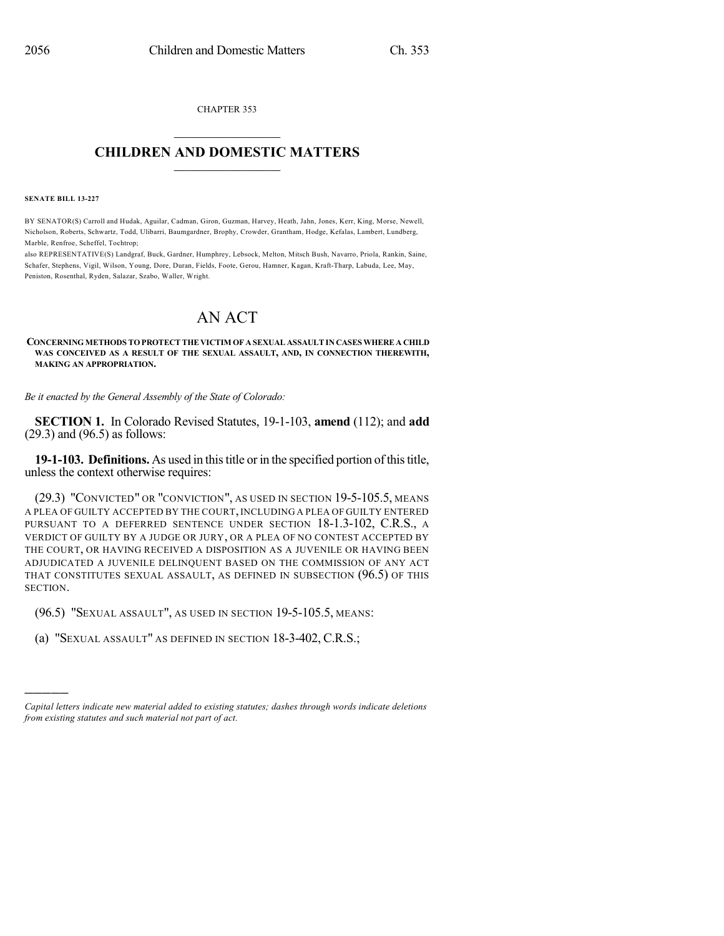CHAPTER 353  $\mathcal{L}_\text{max}$  . The set of the set of the set of the set of the set of the set of the set of the set of the set of the set of the set of the set of the set of the set of the set of the set of the set of the set of the set

## **CHILDREN AND DOMESTIC MATTERS**  $\_$

**SENATE BILL 13-227**

)))))

BY SENATOR(S) Carroll and Hudak, Aguilar, Cadman, Giron, Guzman, Harvey, Heath, Jahn, Jones, Kerr, King, Morse, Newell, Nicholson, Roberts, Schwartz, Todd, Ulibarri, Baumgardner, Brophy, Crowder, Grantham, Hodge, Kefalas, Lambert, Lundberg, Marble, Renfroe, Scheffel, Tochtrop;

also REPRESENTATIVE(S) Landgraf, Buck, Gardner, Humphrey, Lebsock, Melton, Mitsch Bush, Navarro, Priola, Rankin, Saine, Schafer, Stephens, Vigil, Wilson, Young, Dore, Duran, Fields, Foote, Gerou, Hamner, Kagan, Kraft-Tharp, Labuda, Lee, May, Peniston, Rosenthal, Ryden, Salazar, Szabo, Waller, Wright.

# AN ACT

#### **CONCERNING METHODS TO PROTECT THE VICTIM OF A SEXUAL ASSAULTIN CASES WHERE A CHILD WAS CONCEIVED AS A RESULT OF THE SEXUAL ASSAULT, AND, IN CONNECTION THEREWITH, MAKING AN APPROPRIATION.**

*Be it enacted by the General Assembly of the State of Colorado:*

**SECTION 1.** In Colorado Revised Statutes, 19-1-103, **amend** (112); and **add** (29.3) and (96.5) as follows:

**19-1-103. Definitions.** As used in thistitle or in the specified portion ofthistitle, unless the context otherwise requires:

(29.3) "CONVICTED" OR "CONVICTION", AS USED IN SECTION 19-5-105.5, MEANS A PLEA OF GUILTY ACCEPTED BY THE COURT, INCLUDING A PLEA OF GUILTY ENTERED PURSUANT TO A DEFERRED SENTENCE UNDER SECTION 18-1.3-102, C.R.S., A VERDICT OF GUILTY BY A JUDGE OR JURY, OR A PLEA OF NO CONTEST ACCEPTED BY THE COURT, OR HAVING RECEIVED A DISPOSITION AS A JUVENILE OR HAVING BEEN ADJUDICATED A JUVENILE DELINQUENT BASED ON THE COMMISSION OF ANY ACT THAT CONSTITUTES SEXUAL ASSAULT, AS DEFINED IN SUBSECTION (96.5) OF THIS SECTION.

(96.5) "SEXUAL ASSAULT", AS USED IN SECTION 19-5-105.5, MEANS:

(a) "SEXUAL ASSAULT" AS DEFINED IN SECTION 18-3-402, C.R.S.;

*Capital letters indicate new material added to existing statutes; dashes through words indicate deletions from existing statutes and such material not part of act.*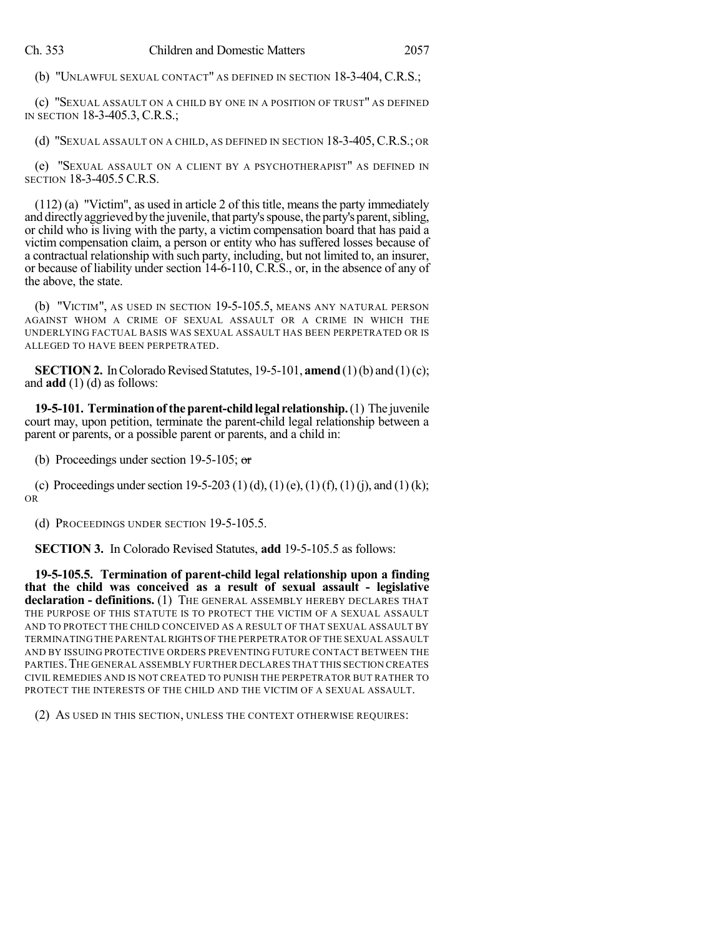(b) "UNLAWFUL SEXUAL CONTACT" AS DEFINED IN SECTION 18-3-404, C.R.S.;

(c) "SEXUAL ASSAULT ON A CHILD BY ONE IN A POSITION OF TRUST" AS DEFINED IN SECTION 18-3-405.3, C.R.S.;

(d) "SEXUAL ASSAULT ON A CHILD, AS DEFINED IN SECTION 18-3-405,C.R.S.; OR

(e) "SEXUAL ASSAULT ON A CLIENT BY A PSYCHOTHERAPIST" AS DEFINED IN SECTION 18-3-405.5 C.R.S.

(112) (a) "Victim", as used in article 2 of this title, means the party immediately and directly aggrieved by the juvenile, that party's spouse, the party's parent, sibling, or child who is living with the party, a victim compensation board that has paid a victim compensation claim, a person or entity who has suffered losses because of a contractual relationship with such party, including, but not limited to, an insurer, or because of liability under section 14-6-110, C.R.S., or, in the absence of any of the above, the state.

(b) "VICTIM", AS USED IN SECTION 19-5-105.5, MEANS ANY NATURAL PERSON AGAINST WHOM A CRIME OF SEXUAL ASSAULT OR A CRIME IN WHICH THE UNDERLYING FACTUAL BASIS WAS SEXUAL ASSAULT HAS BEEN PERPETRATED OR IS ALLEGED TO HAVE BEEN PERPETRATED.

**SECTION 2.** In Colorado Revised Statutes, 19-5-101, **amend** (1)(b) and (1)(c); and **add** (1) (d) as follows:

**19-5-101. Termination of the parent-child legal relationship.** (1) The juvenile court may, upon petition, terminate the parent-child legal relationship between a parent or parents, or a possible parent or parents, and a child in:

(b) Proceedings under section 19-5-105;  $\sigma$ 

(c) Proceedings under section 19-5-203 (1)(d), (1)(e), (1)(f), (1)(j), and (1)(k); OR

(d) PROCEEDINGS UNDER SECTION 19-5-105.5.

**SECTION 3.** In Colorado Revised Statutes, **add** 19-5-105.5 as follows:

**19-5-105.5. Termination of parent-child legal relationship upon a finding that the child was conceived as a result of sexual assault - legislative declaration - definitions.** (1) THE GENERAL ASSEMBLY HEREBY DECLARES THAT THE PURPOSE OF THIS STATUTE IS TO PROTECT THE VICTIM OF A SEXUAL ASSAULT AND TO PROTECT THE CHILD CONCEIVED AS A RESULT OF THAT SEXUAL ASSAULT BY TERMINATING THE PARENTALRIGHTS OF THE PERPETRATOR OF THE SEXUAL ASSAULT AND BY ISSUING PROTECTIVE ORDERS PREVENTING FUTURE CONTACT BETWEEN THE PARTIES.THE GENERAL ASSEMBLY FURTHER DECLARES THAT THIS SECTION CREATES CIVIL REMEDIES AND IS NOT CREATED TO PUNISH THE PERPETRATOR BUT RATHER TO PROTECT THE INTERESTS OF THE CHILD AND THE VICTIM OF A SEXUAL ASSAULT.

(2) AS USED IN THIS SECTION, UNLESS THE CONTEXT OTHERWISE REQUIRES: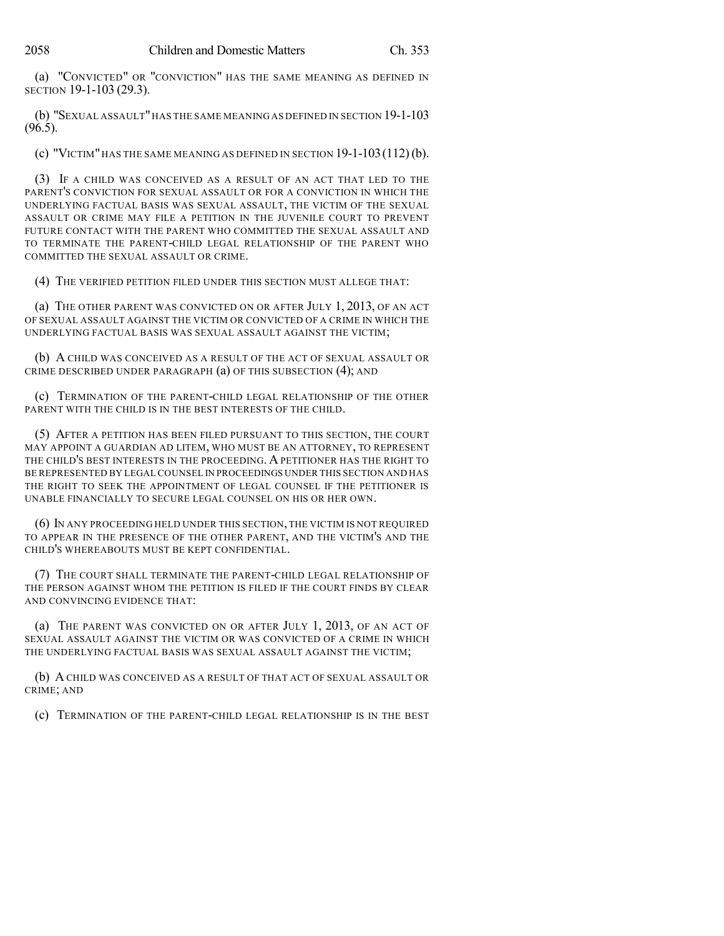(a) "CONVICTED" OR "CONVICTION" HAS THE SAME MEANING AS DEFINED IN SECTION 19-1-103 (29.3).

(b) "SEXUAL ASSAULT"HAS THE SAME MEANING AS DEFINED IN SECTION 19-1-103 (96.5).

(c) "VICTIM" HAS THE SAME MEANING AS DEFINED IN SECTION  $19-1-103(112)$  (b).

(3) IF A CHILD WAS CONCEIVED AS A RESULT OF AN ACT THAT LED TO THE PARENT'S CONVICTION FOR SEXUAL ASSAULT OR FOR A CONVICTION IN WHICH THE UNDERLYING FACTUAL BASIS WAS SEXUAL ASSAULT, THE VICTIM OF THE SEXUAL ASSAULT OR CRIME MAY FILE A PETITION IN THE JUVENILE COURT TO PREVENT FUTURE CONTACT WITH THE PARENT WHO COMMITTED THE SEXUAL ASSAULT AND TO TERMINATE THE PARENT-CHILD LEGAL RELATIONSHIP OF THE PARENT WHO COMMITTED THE SEXUAL ASSAULT OR CRIME.

(4) THE VERIFIED PETITION FILED UNDER THIS SECTION MUST ALLEGE THAT:

(a) THE OTHER PARENT WAS CONVICTED ON OR AFTER JULY 1, 2013, OF AN ACT OF SEXUAL ASSAULT AGAINST THE VICTIM OR CONVICTED OF A CRIME IN WHICH THE UNDERLYING FACTUAL BASIS WAS SEXUAL ASSAULT AGAINST THE VICTIM;

(b) A CHILD WAS CONCEIVED AS A RESULT OF THE ACT OF SEXUAL ASSAULT OR CRIME DESCRIBED UNDER PARAGRAPH (a) OF THIS SUBSECTION (4); AND

(c) TERMINATION OF THE PARENT-CHILD LEGAL RELATIONSHIP OF THE OTHER PARENT WITH THE CHILD IS IN THE BEST INTERESTS OF THE CHILD.

(5) AFTER A PETITION HAS BEEN FILED PURSUANT TO THIS SECTION, THE COURT MAY APPOINT A GUARDIAN AD LITEM, WHO MUST BE AN ATTORNEY, TO REPRESENT THE CHILD'S BEST INTERESTS IN THE PROCEEDING. A PETITIONER HAS THE RIGHT TO BE REPRESENTED BY LEGAL COUNSEL IN PROCEEDINGS UNDER THIS SECTION AND HAS THE RIGHT TO SEEK THE APPOINTMENT OF LEGAL COUNSEL IF THE PETITIONER IS UNABLE FINANCIALLY TO SECURE LEGAL COUNSEL ON HIS OR HER OWN.

(6) IN ANY PROCEEDING HELD UNDER THIS SECTION, THE VICTIM IS NOT REQUIRED TO APPEAR IN THE PRESENCE OF THE OTHER PARENT, AND THE VICTIM'S AND THE CHILD'S WHEREABOUTS MUST BE KEPT CONFIDENTIAL.

(7) THE COURT SHALL TERMINATE THE PARENT-CHILD LEGAL RELATIONSHIP OF THE PERSON AGAINST WHOM THE PETITION IS FILED IF THE COURT FINDS BY CLEAR AND CONVINCING EVIDENCE THAT:

(a) THE PARENT WAS CONVICTED ON OR AFTER JULY 1, 2013, OF AN ACT OF SEXUAL ASSAULT AGAINST THE VICTIM OR WAS CONVICTED OF A CRIME IN WHICH THE UNDERLYING FACTUAL BASIS WAS SEXUAL ASSAULT AGAINST THE VICTIM;

(b) A CHILD WAS CONCEIVED AS A RESULT OF THAT ACT OF SEXUAL ASSAULT OR CRIME; AND

(c) TERMINATION OF THE PARENT-CHILD LEGAL RELATIONSHIP IS IN THE BEST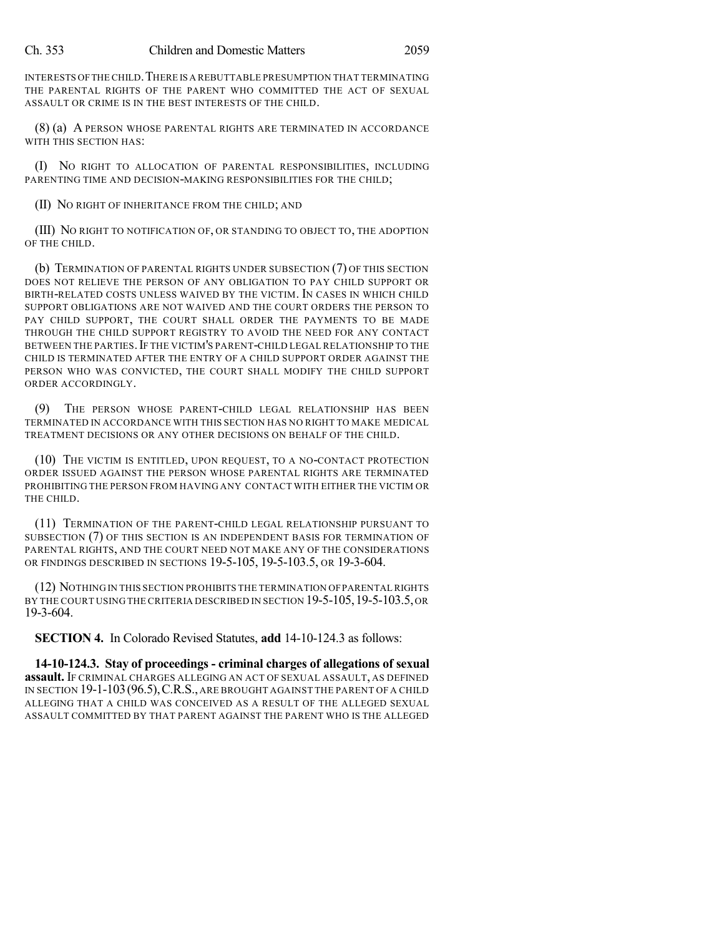INTERESTS OFTHE CHILD.THERE IS A REBUTTABLE PRESUMPTION THAT TERMINATING THE PARENTAL RIGHTS OF THE PARENT WHO COMMITTED THE ACT OF SEXUAL ASSAULT OR CRIME IS IN THE BEST INTERESTS OF THE CHILD.

(8) (a) A PERSON WHOSE PARENTAL RIGHTS ARE TERMINATED IN ACCORDANCE WITH THIS SECTION HAS:

(I) NO RIGHT TO ALLOCATION OF PARENTAL RESPONSIBILITIES, INCLUDING PARENTING TIME AND DECISION-MAKING RESPONSIBILITIES FOR THE CHILD;

(II) NO RIGHT OF INHERITANCE FROM THE CHILD; AND

(III) NO RIGHT TO NOTIFICATION OF, OR STANDING TO OBJECT TO, THE ADOPTION OF THE CHILD.

(b) TERMINATION OF PARENTAL RIGHTS UNDER SUBSECTION (7) OF THIS SECTION DOES NOT RELIEVE THE PERSON OF ANY OBLIGATION TO PAY CHILD SUPPORT OR BIRTH-RELATED COSTS UNLESS WAIVED BY THE VICTIM. IN CASES IN WHICH CHILD SUPPORT OBLIGATIONS ARE NOT WAIVED AND THE COURT ORDERS THE PERSON TO PAY CHILD SUPPORT, THE COURT SHALL ORDER THE PAYMENTS TO BE MADE THROUGH THE CHILD SUPPORT REGISTRY TO AVOID THE NEED FOR ANY CONTACT BETWEEN THE PARTIES. IF THE VICTIM'S PARENT-CHILD LEGAL RELATIONSHIP TO THE CHILD IS TERMINATED AFTER THE ENTRY OF A CHILD SUPPORT ORDER AGAINST THE PERSON WHO WAS CONVICTED, THE COURT SHALL MODIFY THE CHILD SUPPORT ORDER ACCORDINGLY.

(9) THE PERSON WHOSE PARENT-CHILD LEGAL RELATIONSHIP HAS BEEN TERMINATED IN ACCORDANCE WITH THIS SECTION HAS NO RIGHT TO MAKE MEDICAL TREATMENT DECISIONS OR ANY OTHER DECISIONS ON BEHALF OF THE CHILD.

(10) THE VICTIM IS ENTITLED, UPON REQUEST, TO A NO-CONTACT PROTECTION ORDER ISSUED AGAINST THE PERSON WHOSE PARENTAL RIGHTS ARE TERMINATED PROHIBITING THE PERSON FROM HAVING ANY CONTACT WITH EITHER THE VICTIM OR THE CHILD.

(11) TERMINATION OF THE PARENT-CHILD LEGAL RELATIONSHIP PURSUANT TO SUBSECTION (7) OF THIS SECTION IS AN INDEPENDENT BASIS FOR TERMINATION OF PARENTAL RIGHTS, AND THE COURT NEED NOT MAKE ANY OF THE CONSIDERATIONS OR FINDINGS DESCRIBED IN SECTIONS 19-5-105, 19-5-103.5, OR 19-3-604.

(12) NOTHING IN THIS SECTION PROHIBITS THE TERMINATION OFPARENTAL RIGHTS BY THE COURT USING THE CRITERIA DESCRIBED IN SECTION 19-5-105, 19-5-103.5, OR 19-3-604.

**SECTION 4.** In Colorado Revised Statutes, **add** 14-10-124.3 as follows:

**14-10-124.3. Stay of proceedings - criminal charges of allegations of sexual assault.** IF CRIMINAL CHARGES ALLEGING AN ACT OF SEXUAL ASSAULT, AS DEFINED IN SECTION 19-1-103(96.5),C.R.S., ARE BROUGHT AGAINST THE PARENT OF A CHILD ALLEGING THAT A CHILD WAS CONCEIVED AS A RESULT OF THE ALLEGED SEXUAL ASSAULT COMMITTED BY THAT PARENT AGAINST THE PARENT WHO IS THE ALLEGED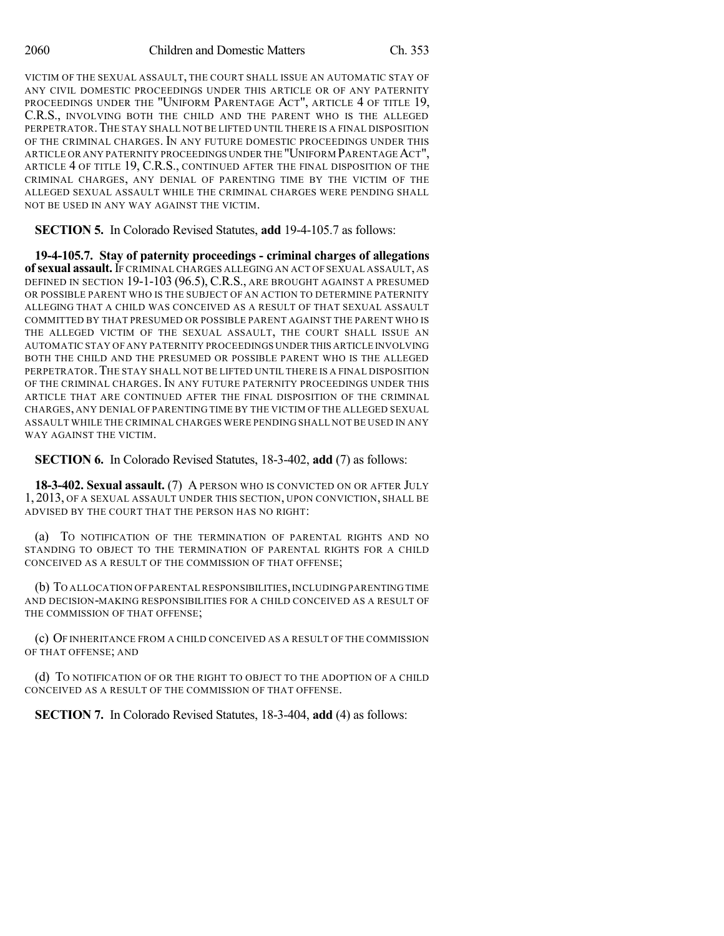VICTIM OF THE SEXUAL ASSAULT, THE COURT SHALL ISSUE AN AUTOMATIC STAY OF ANY CIVIL DOMESTIC PROCEEDINGS UNDER THIS ARTICLE OR OF ANY PATERNITY PROCEEDINGS UNDER THE "UNIFORM PARENTAGE ACT", ARTICLE 4 OF TITLE 19, C.R.S., INVOLVING BOTH THE CHILD AND THE PARENT WHO IS THE ALLEGED PERPETRATOR. THE STAY SHALL NOT BE LIFTED UNTIL THERE IS A FINAL DISPOSITION OF THE CRIMINAL CHARGES. IN ANY FUTURE DOMESTIC PROCEEDINGS UNDER THIS ARTICLE OR ANY PATERNITY PROCEEDINGS UNDER THE "UNIFORM PARENTAGE ACT", ARTICLE 4 OF TITLE 19, C.R.S., CONTINUED AFTER THE FINAL DISPOSITION OF THE CRIMINAL CHARGES, ANY DENIAL OF PARENTING TIME BY THE VICTIM OF THE ALLEGED SEXUAL ASSAULT WHILE THE CRIMINAL CHARGES WERE PENDING SHALL NOT BE USED IN ANY WAY AGAINST THE VICTIM.

**SECTION 5.** In Colorado Revised Statutes, **add** 19-4-105.7 as follows:

**19-4-105.7. Stay of paternity proceedings - criminal charges of allegations of sexual assault.**IF CRIMINAL CHARGES ALLEGING AN ACT OF SEXUAL ASSAULT, AS DEFINED IN SECTION 19-1-103 (96.5), C.R.S., ARE BROUGHT AGAINST A PRESUMED OR POSSIBLE PARENT WHO IS THE SUBJECT OF AN ACTION TO DETERMINE PATERNITY ALLEGING THAT A CHILD WAS CONCEIVED AS A RESULT OF THAT SEXUAL ASSAULT COMMITTED BY THAT PRESUMED OR POSSIBLE PARENT AGAINST THE PARENT WHO IS THE ALLEGED VICTIM OF THE SEXUAL ASSAULT, THE COURT SHALL ISSUE AN AUTOMATIC STAY OF ANY PATERNITY PROCEEDINGS UNDER THIS ARTICLE INVOLVING BOTH THE CHILD AND THE PRESUMED OR POSSIBLE PARENT WHO IS THE ALLEGED PERPETRATOR. THE STAY SHALL NOT BE LIFTED UNTIL THERE IS A FINAL DISPOSITION OF THE CRIMINAL CHARGES. IN ANY FUTURE PATERNITY PROCEEDINGS UNDER THIS ARTICLE THAT ARE CONTINUED AFTER THE FINAL DISPOSITION OF THE CRIMINAL CHARGES, ANY DENIAL OF PARENTING TIME BY THE VICTIM OF THE ALLEGED SEXUAL ASSAULT WHILE THE CRIMINAL CHARGES WERE PENDING SHALL NOT BE USED IN ANY WAY AGAINST THE VICTIM.

**SECTION 6.** In Colorado Revised Statutes, 18-3-402, **add** (7) as follows:

**18-3-402. Sexual assault.** (7) A PERSON WHO IS CONVICTED ON OR AFTER JULY 1, 2013, OF A SEXUAL ASSAULT UNDER THIS SECTION, UPON CONVICTION, SHALL BE ADVISED BY THE COURT THAT THE PERSON HAS NO RIGHT:

(a) TO NOTIFICATION OF THE TERMINATION OF PARENTAL RIGHTS AND NO STANDING TO OBJECT TO THE TERMINATION OF PARENTAL RIGHTS FOR A CHILD CONCEIVED AS A RESULT OF THE COMMISSION OF THAT OFFENSE;

(b) TO ALLOCATION OF PARENTAL RESPONSIBILITIES,INCLUDING PARENTING TIME AND DECISION-MAKING RESPONSIBILITIES FOR A CHILD CONCEIVED AS A RESULT OF THE COMMISSION OF THAT OFFENSE;

(c) OF INHERITANCE FROM A CHILD CONCEIVED AS A RESULT OF THE COMMISSION OF THAT OFFENSE; AND

(d) TO NOTIFICATION OF OR THE RIGHT TO OBJECT TO THE ADOPTION OF A CHILD CONCEIVED AS A RESULT OF THE COMMISSION OF THAT OFFENSE.

**SECTION 7.** In Colorado Revised Statutes, 18-3-404, **add** (4) as follows: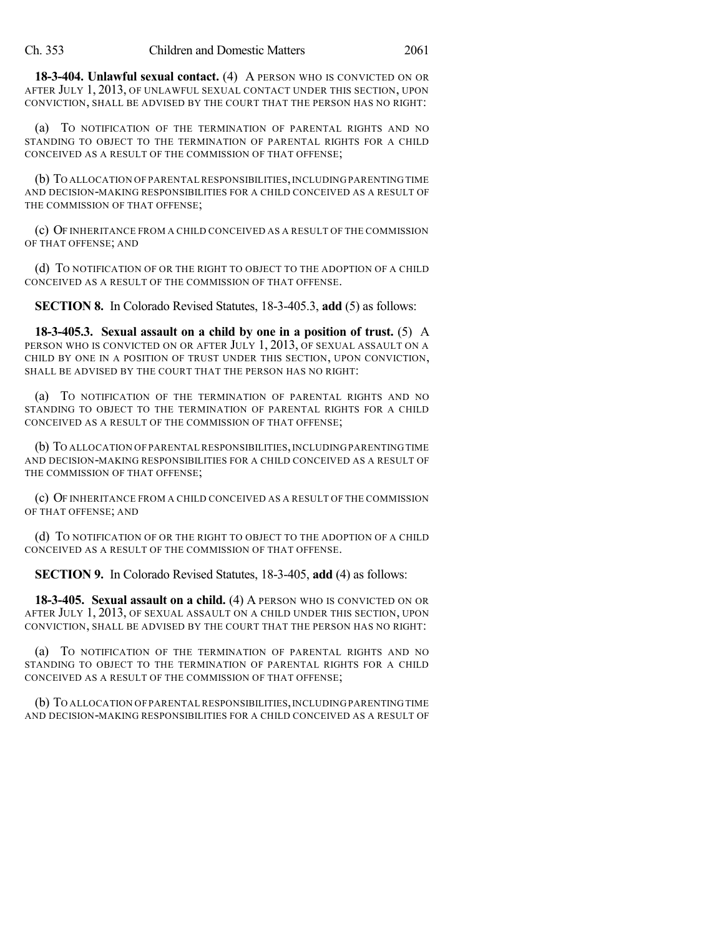**18-3-404. Unlawful sexual contact.** (4) A PERSON WHO IS CONVICTED ON OR AFTER JULY 1, 2013, OF UNLAWFUL SEXUAL CONTACT UNDER THIS SECTION, UPON CONVICTION, SHALL BE ADVISED BY THE COURT THAT THE PERSON HAS NO RIGHT:

(a) TO NOTIFICATION OF THE TERMINATION OF PARENTAL RIGHTS AND NO STANDING TO OBJECT TO THE TERMINATION OF PARENTAL RIGHTS FOR A CHILD CONCEIVED AS A RESULT OF THE COMMISSION OF THAT OFFENSE;

(b) TO ALLOCATION OF PARENTAL RESPONSIBILITIES,INCLUDING PARENTING TIME AND DECISION-MAKING RESPONSIBILITIES FOR A CHILD CONCEIVED AS A RESULT OF THE COMMISSION OF THAT OFFENSE;

(c) OF INHERITANCE FROM A CHILD CONCEIVED AS A RESULT OF THE COMMISSION OF THAT OFFENSE; AND

(d) TO NOTIFICATION OF OR THE RIGHT TO OBJECT TO THE ADOPTION OF A CHILD CONCEIVED AS A RESULT OF THE COMMISSION OF THAT OFFENSE.

**SECTION 8.** In Colorado Revised Statutes, 18-3-405.3, **add** (5) as follows:

**18-3-405.3. Sexual assault on a child by one in a position of trust.** (5) A PERSON WHO IS CONVICTED ON OR AFTER JULY 1, 2013, OF SEXUAL ASSAULT ON A CHILD BY ONE IN A POSITION OF TRUST UNDER THIS SECTION, UPON CONVICTION, SHALL BE ADVISED BY THE COURT THAT THE PERSON HAS NO RIGHT:

(a) TO NOTIFICATION OF THE TERMINATION OF PARENTAL RIGHTS AND NO STANDING TO OBJECT TO THE TERMINATION OF PARENTAL RIGHTS FOR A CHILD CONCEIVED AS A RESULT OF THE COMMISSION OF THAT OFFENSE;

(b) TO ALLOCATION OF PARENTAL RESPONSIBILITIES, INCLUDING PARENTING TIME AND DECISION-MAKING RESPONSIBILITIES FOR A CHILD CONCEIVED AS A RESULT OF THE COMMISSION OF THAT OFFENSE;

(c) OF INHERITANCE FROM A CHILD CONCEIVED AS A RESULT OF THE COMMISSION OF THAT OFFENSE; AND

(d) TO NOTIFICATION OF OR THE RIGHT TO OBJECT TO THE ADOPTION OF A CHILD CONCEIVED AS A RESULT OF THE COMMISSION OF THAT OFFENSE.

**SECTION 9.** In Colorado Revised Statutes, 18-3-405, **add** (4) as follows:

**18-3-405. Sexual assault on a child.** (4) A PERSON WHO IS CONVICTED ON OR AFTER JULY 1, 2013, OF SEXUAL ASSAULT ON A CHILD UNDER THIS SECTION, UPON CONVICTION, SHALL BE ADVISED BY THE COURT THAT THE PERSON HAS NO RIGHT:

(a) TO NOTIFICATION OF THE TERMINATION OF PARENTAL RIGHTS AND NO STANDING TO OBJECT TO THE TERMINATION OF PARENTAL RIGHTS FOR A CHILD CONCEIVED AS A RESULT OF THE COMMISSION OF THAT OFFENSE;

(b) TO ALLOCATION OF PARENTAL RESPONSIBILITIES, INCLUDING PARENTING TIME AND DECISION-MAKING RESPONSIBILITIES FOR A CHILD CONCEIVED AS A RESULT OF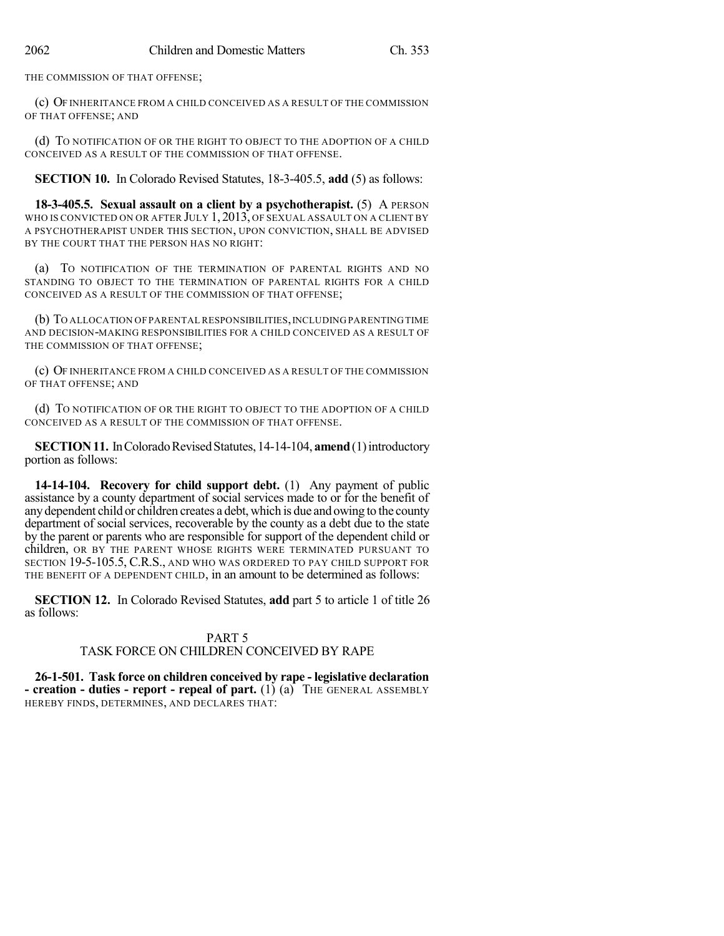THE COMMISSION OF THAT OFFENSE;

(c) OF INHERITANCE FROM A CHILD CONCEIVED AS A RESULT OF THE COMMISSION OF THAT OFFENSE; AND

(d) TO NOTIFICATION OF OR THE RIGHT TO OBJECT TO THE ADOPTION OF A CHILD CONCEIVED AS A RESULT OF THE COMMISSION OF THAT OFFENSE.

**SECTION 10.** In Colorado Revised Statutes, 18-3-405.5, **add** (5) as follows:

**18-3-405.5. Sexual assault on a client by a psychotherapist.** (5) A PERSON WHO IS CONVICTED ON OR AFTER JULY 1, 2013, OF SEXUAL ASSAULT ON A CLIENT BY A PSYCHOTHERAPIST UNDER THIS SECTION, UPON CONVICTION, SHALL BE ADVISED BY THE COURT THAT THE PERSON HAS NO RIGHT:

(a) TO NOTIFICATION OF THE TERMINATION OF PARENTAL RIGHTS AND NO STANDING TO OBJECT TO THE TERMINATION OF PARENTAL RIGHTS FOR A CHILD CONCEIVED AS A RESULT OF THE COMMISSION OF THAT OFFENSE;

(b) TO ALLOCATION OF PARENTAL RESPONSIBILITIES, INCLUDING PARENTING TIME AND DECISION-MAKING RESPONSIBILITIES FOR A CHILD CONCEIVED AS A RESULT OF THE COMMISSION OF THAT OFFENSE;

(c) OF INHERITANCE FROM A CHILD CONCEIVED AS A RESULT OF THE COMMISSION OF THAT OFFENSE; AND

(d) TO NOTIFICATION OF OR THE RIGHT TO OBJECT TO THE ADOPTION OF A CHILD CONCEIVED AS A RESULT OF THE COMMISSION OF THAT OFFENSE.

**SECTION 11.** In Colorado Revised Statutes, 14-14-104, **amend** (1) introductory portion as follows:

**14-14-104. Recovery for child support debt.** (1) Any payment of public assistance by a county department of social services made to or for the benefit of anydependent child or children creates a debt, which is due and owing to the county department of social services, recoverable by the county as a debt due to the state by the parent or parents who are responsible for support of the dependent child or children, OR BY THE PARENT WHOSE RIGHTS WERE TERMINATED PURSUANT TO SECTION 19-5-105.5, C.R.S., AND WHO WAS ORDERED TO PAY CHILD SUPPORT FOR THE BENEFIT OF A DEPENDENT CHILD, in an amount to be determined as follows:

**SECTION 12.** In Colorado Revised Statutes, **add** part 5 to article 1 of title 26 as follows:

## PART 5 TASK FORCE ON CHILDREN CONCEIVED BY RAPE

**26-1-501. Task force on children conceived by rape - legislative declaration - creation - duties - report - repeal of part.** (1) (a) THE GENERAL ASSEMBLY HEREBY FINDS, DETERMINES, AND DECLARES THAT: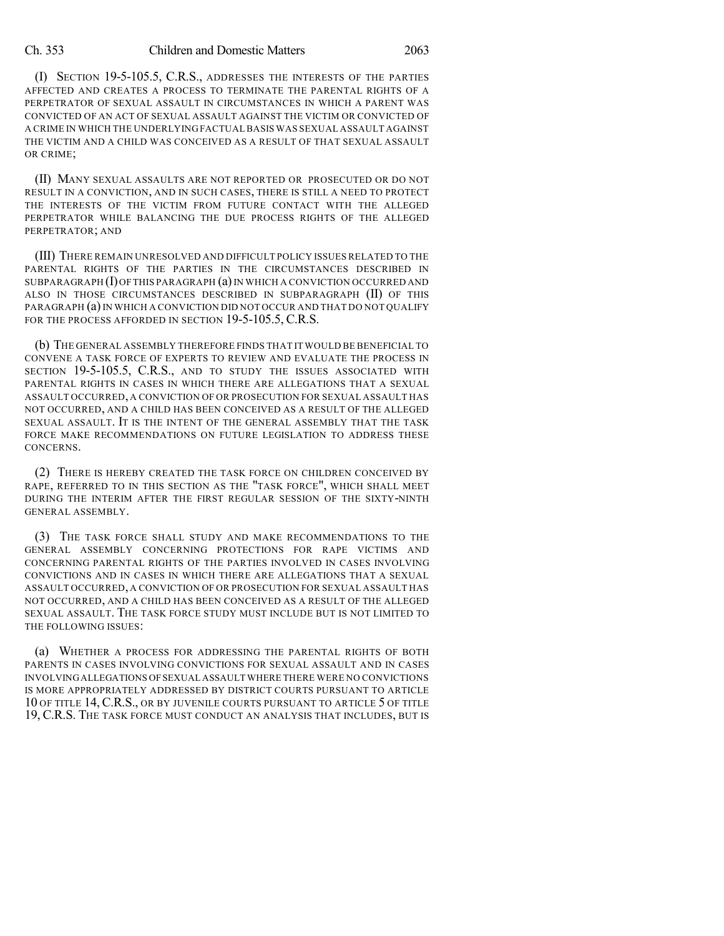### Ch. 353 Children and Domestic Matters 2063

(I) SECTION 19-5-105.5, C.R.S., ADDRESSES THE INTERESTS OF THE PARTIES AFFECTED AND CREATES A PROCESS TO TERMINATE THE PARENTAL RIGHTS OF A PERPETRATOR OF SEXUAL ASSAULT IN CIRCUMSTANCES IN WHICH A PARENT WAS CONVICTED OF AN ACT OF SEXUAL ASSAULT AGAINST THE VICTIM OR CONVICTED OF A CRIME IN WHICH THE UNDERLYING FACTUALBASIS WAS SEXUAL ASSAULT AGAINST THE VICTIM AND A CHILD WAS CONCEIVED AS A RESULT OF THAT SEXUAL ASSAULT OR CRIME;

(II) MANY SEXUAL ASSAULTS ARE NOT REPORTED OR PROSECUTED OR DO NOT RESULT IN A CONVICTION, AND IN SUCH CASES, THERE IS STILL A NEED TO PROTECT THE INTERESTS OF THE VICTIM FROM FUTURE CONTACT WITH THE ALLEGED PERPETRATOR WHILE BALANCING THE DUE PROCESS RIGHTS OF THE ALLEGED PERPETRATOR; AND

(III) THERE REMAIN UNRESOLVED AND DIFFICULT POLICY ISSUES RELATED TO THE PARENTAL RIGHTS OF THE PARTIES IN THE CIRCUMSTANCES DESCRIBED IN SUBPARAGRAPH  $(I)$  OF THIS PARAGRAPH  $(a)$  IN WHICH A CONVICTION OCCURRED AND ALSO IN THOSE CIRCUMSTANCES DESCRIBED IN SUBPARAGRAPH (II) OF THIS PARAGRAPH (a) IN WHICH A CONVICTION DID NOT OCCUR AND THAT DO NOT QUALIFY FOR THE PROCESS AFFORDED IN SECTION 19-5-105.5, C.R.S.

(b) THE GENERAL ASSEMBLY THEREFORE FINDS THAT IT WOULD BE BENEFICIAL TO CONVENE A TASK FORCE OF EXPERTS TO REVIEW AND EVALUATE THE PROCESS IN SECTION 19-5-105.5, C.R.S., AND TO STUDY THE ISSUES ASSOCIATED WITH PARENTAL RIGHTS IN CASES IN WHICH THERE ARE ALLEGATIONS THAT A SEXUAL ASSAULT OCCURRED, A CONVICTION OF OR PROSECUTION FOR SEXUAL ASSAULT HAS NOT OCCURRED, AND A CHILD HAS BEEN CONCEIVED AS A RESULT OF THE ALLEGED SEXUAL ASSAULT. IT IS THE INTENT OF THE GENERAL ASSEMBLY THAT THE TASK FORCE MAKE RECOMMENDATIONS ON FUTURE LEGISLATION TO ADDRESS THESE CONCERNS.

(2) THERE IS HEREBY CREATED THE TASK FORCE ON CHILDREN CONCEIVED BY RAPE, REFERRED TO IN THIS SECTION AS THE "TASK FORCE", WHICH SHALL MEET DURING THE INTERIM AFTER THE FIRST REGULAR SESSION OF THE SIXTY-NINTH GENERAL ASSEMBLY.

(3) THE TASK FORCE SHALL STUDY AND MAKE RECOMMENDATIONS TO THE GENERAL ASSEMBLY CONCERNING PROTECTIONS FOR RAPE VICTIMS AND CONCERNING PARENTAL RIGHTS OF THE PARTIES INVOLVED IN CASES INVOLVING CONVICTIONS AND IN CASES IN WHICH THERE ARE ALLEGATIONS THAT A SEXUAL ASSAULT OCCURRED, A CONVICTION OF OR PROSECUTION FOR SEXUAL ASSAULT HAS NOT OCCURRED, AND A CHILD HAS BEEN CONCEIVED AS A RESULT OF THE ALLEGED SEXUAL ASSAULT. THE TASK FORCE STUDY MUST INCLUDE BUT IS NOT LIMITED TO THE FOLLOWING ISSUES:

(a) WHETHER A PROCESS FOR ADDRESSING THE PARENTAL RIGHTS OF BOTH PARENTS IN CASES INVOLVING CONVICTIONS FOR SEXUAL ASSAULT AND IN CASES INVOLVINGALLEGATIONS OFSEXUAL ASSAULT WHERE THERE WERE NO CONVICTIONS IS MORE APPROPRIATELY ADDRESSED BY DISTRICT COURTS PURSUANT TO ARTICLE 10 OF TITLE 14, C.R.S., OR BY JUVENILE COURTS PURSUANT TO ARTICLE 5 OF TITLE 19, C.R.S. THE TASK FORCE MUST CONDUCT AN ANALYSIS THAT INCLUDES, BUT IS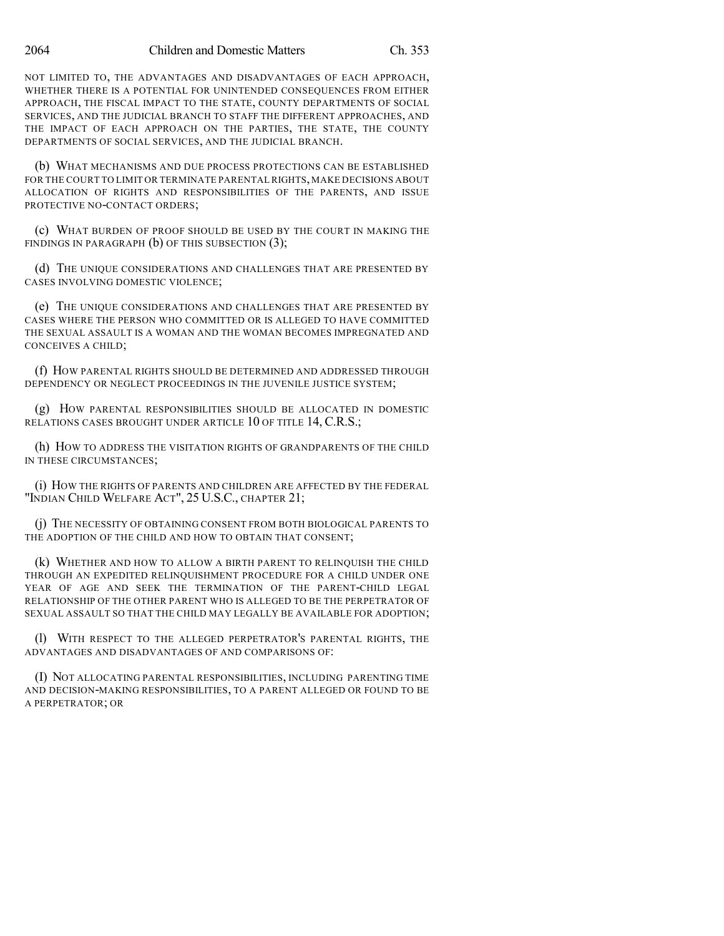NOT LIMITED TO, THE ADVANTAGES AND DISADVANTAGES OF EACH APPROACH, WHETHER THERE IS A POTENTIAL FOR UNINTENDED CONSEQUENCES FROM EITHER APPROACH, THE FISCAL IMPACT TO THE STATE, COUNTY DEPARTMENTS OF SOCIAL SERVICES, AND THE JUDICIAL BRANCH TO STAFF THE DIFFERENT APPROACHES, AND THE IMPACT OF EACH APPROACH ON THE PARTIES, THE STATE, THE COUNTY DEPARTMENTS OF SOCIAL SERVICES, AND THE JUDICIAL BRANCH.

(b) WHAT MECHANISMS AND DUE PROCESS PROTECTIONS CAN BE ESTABLISHED FOR THE COURT TO LIMIT OR TERMINATE PARENTAL RIGHTS, MAKE DECISIONS ABOUT ALLOCATION OF RIGHTS AND RESPONSIBILITIES OF THE PARENTS, AND ISSUE PROTECTIVE NO-CONTACT ORDERS;

(c) WHAT BURDEN OF PROOF SHOULD BE USED BY THE COURT IN MAKING THE FINDINGS IN PARAGRAPH  $(b)$  OF THIS SUBSECTION  $(3)$ ;

(d) THE UNIQUE CONSIDERATIONS AND CHALLENGES THAT ARE PRESENTED BY CASES INVOLVING DOMESTIC VIOLENCE;

(e) THE UNIQUE CONSIDERATIONS AND CHALLENGES THAT ARE PRESENTED BY CASES WHERE THE PERSON WHO COMMITTED OR IS ALLEGED TO HAVE COMMITTED THE SEXUAL ASSAULT IS A WOMAN AND THE WOMAN BECOMES IMPREGNATED AND CONCEIVES A CHILD;

(f) HOW PARENTAL RIGHTS SHOULD BE DETERMINED AND ADDRESSED THROUGH DEPENDENCY OR NEGLECT PROCEEDINGS IN THE JUVENILE JUSTICE SYSTEM;

(g) HOW PARENTAL RESPONSIBILITIES SHOULD BE ALLOCATED IN DOMESTIC RELATIONS CASES BROUGHT UNDER ARTICLE 10 OF TITLE 14, C.R.S.;

(h) HOW TO ADDRESS THE VISITATION RIGHTS OF GRANDPARENTS OF THE CHILD IN THESE CIRCUMSTANCES;

(i) HOW THE RIGHTS OF PARENTS AND CHILDREN ARE AFFECTED BY THE FEDERAL "INDIAN CHILD WELFARE ACT", 25 U.S.C., CHAPTER 21;

(j) THE NECESSITY OF OBTAINING CONSENT FROM BOTH BIOLOGICAL PARENTS TO THE ADOPTION OF THE CHILD AND HOW TO OBTAIN THAT CONSENT;

(k) WHETHER AND HOW TO ALLOW A BIRTH PARENT TO RELINQUISH THE CHILD THROUGH AN EXPEDITED RELINQUISHMENT PROCEDURE FOR A CHILD UNDER ONE YEAR OF AGE AND SEEK THE TERMINATION OF THE PARENT-CHILD LEGAL RELATIONSHIP OF THE OTHER PARENT WHO IS ALLEGED TO BE THE PERPETRATOR OF SEXUAL ASSAULT SO THAT THE CHILD MAY LEGALLY BE AVAILABLE FOR ADOPTION;

(l) WITH RESPECT TO THE ALLEGED PERPETRATOR'S PARENTAL RIGHTS, THE ADVANTAGES AND DISADVANTAGES OF AND COMPARISONS OF:

(I) NOT ALLOCATING PARENTAL RESPONSIBILITIES, INCLUDING PARENTING TIME AND DECISION-MAKING RESPONSIBILITIES, TO A PARENT ALLEGED OR FOUND TO BE A PERPETRATOR; OR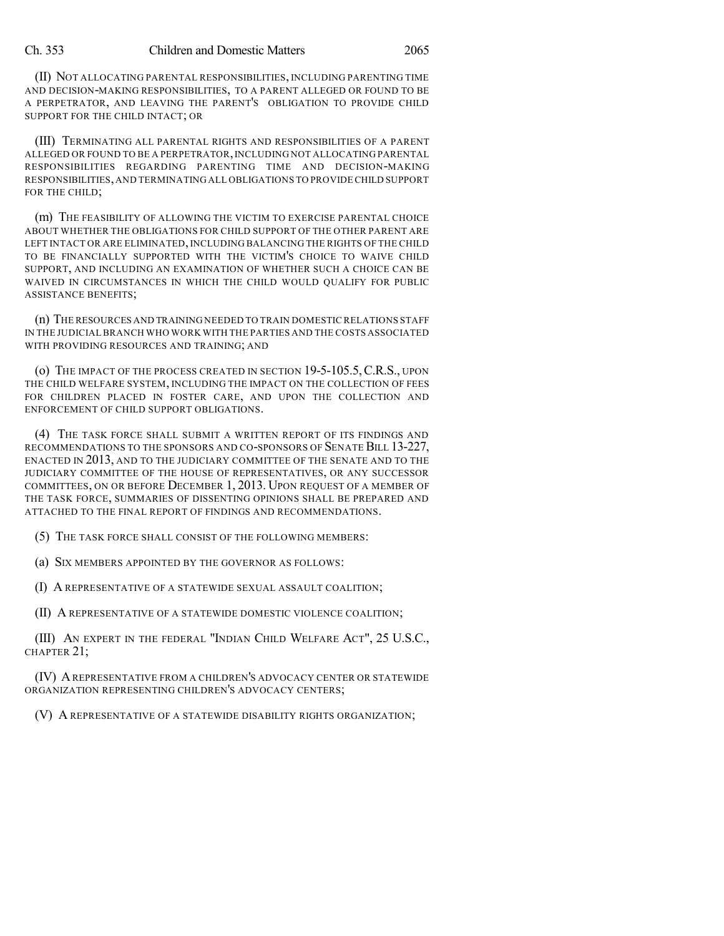(II) NOT ALLOCATING PARENTAL RESPONSIBILITIES, INCLUDING PARENTING TIME AND DECISION-MAKING RESPONSIBILITIES, TO A PARENT ALLEGED OR FOUND TO BE A PERPETRATOR, AND LEAVING THE PARENT'S OBLIGATION TO PROVIDE CHILD SUPPORT FOR THE CHILD INTACT; OR

(III) TERMINATING ALL PARENTAL RIGHTS AND RESPONSIBILITIES OF A PARENT ALLEGED OR FOUND TO BE A PERPETRATOR,INCLUDING NOT ALLOCATING PARENTAL RESPONSIBILITIES REGARDING PARENTING TIME AND DECISION-MAKING RESPONSIBILITIES,AND TERMINATING ALL OBLIGATIONS TO PROVIDECHILD SUPPORT FOR THE CHILD;

(m) THE FEASIBILITY OF ALLOWING THE VICTIM TO EXERCISE PARENTAL CHOICE ABOUT WHETHER THE OBLIGATIONS FOR CHILD SUPPORT OF THE OTHER PARENT ARE LEFT INTACT OR ARE ELIMINATED, INCLUDING BALANCING THE RIGHTS OF THE CHILD TO BE FINANCIALLY SUPPORTED WITH THE VICTIM'S CHOICE TO WAIVE CHILD SUPPORT, AND INCLUDING AN EXAMINATION OF WHETHER SUCH A CHOICE CAN BE WAIVED IN CIRCUMSTANCES IN WHICH THE CHILD WOULD QUALIFY FOR PUBLIC ASSISTANCE BENEFITS;

(n) THE RESOURCES AND TRAINING NEEDED TO TRAIN DOMESTIC RELATIONS STAFF IN THE JUDICIAL BRANCH WHO WORK WITH THE PARTIES AND THE COSTS ASSOCIATED WITH PROVIDING RESOURCES AND TRAINING; AND

(o) THE IMPACT OF THE PROCESS CREATED IN SECTION 19-5-105.5,C.R.S., UPON THE CHILD WELFARE SYSTEM, INCLUDING THE IMPACT ON THE COLLECTION OF FEES FOR CHILDREN PLACED IN FOSTER CARE, AND UPON THE COLLECTION AND ENFORCEMENT OF CHILD SUPPORT OBLIGATIONS.

(4) THE TASK FORCE SHALL SUBMIT A WRITTEN REPORT OF ITS FINDINGS AND RECOMMENDATIONS TO THE SPONSORS AND CO-SPONSORS OF SENATE BILL 13-227, ENACTED IN 2013, AND TO THE JUDICIARY COMMITTEE OF THE SENATE AND TO THE JUDICIARY COMMITTEE OF THE HOUSE OF REPRESENTATIVES, OR ANY SUCCESSOR COMMITTEES, ON OR BEFORE DECEMBER 1, 2013. UPON REQUEST OF A MEMBER OF THE TASK FORCE, SUMMARIES OF DISSENTING OPINIONS SHALL BE PREPARED AND ATTACHED TO THE FINAL REPORT OF FINDINGS AND RECOMMENDATIONS.

(5) THE TASK FORCE SHALL CONSIST OF THE FOLLOWING MEMBERS:

(a) SIX MEMBERS APPOINTED BY THE GOVERNOR AS FOLLOWS:

(I) A REPRESENTATIVE OF A STATEWIDE SEXUAL ASSAULT COALITION;

(II) A REPRESENTATIVE OF A STATEWIDE DOMESTIC VIOLENCE COALITION;

(III) AN EXPERT IN THE FEDERAL "INDIAN CHILD WELFARE ACT", 25 U.S.C., CHAPTER 21;

(IV) AREPRESENTATIVE FROM A CHILDREN'S ADVOCACY CENTER OR STATEWIDE ORGANIZATION REPRESENTING CHILDREN'S ADVOCACY CENTERS;

(V) A REPRESENTATIVE OF A STATEWIDE DISABILITY RIGHTS ORGANIZATION;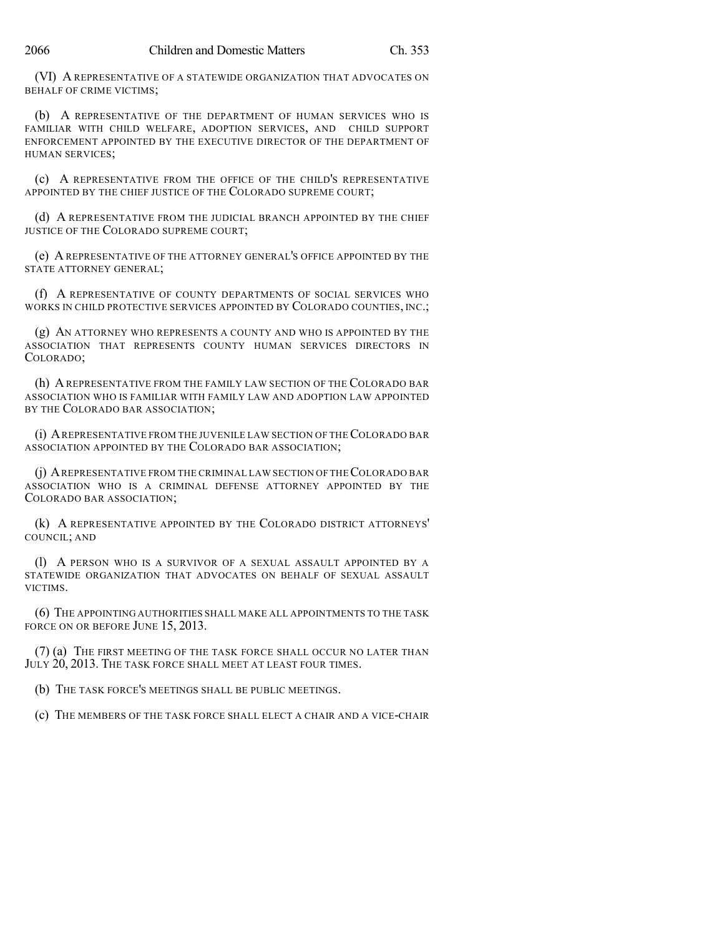(VI) A REPRESENTATIVE OF A STATEWIDE ORGANIZATION THAT ADVOCATES ON BEHALF OF CRIME VICTIMS;

(b) A REPRESENTATIVE OF THE DEPARTMENT OF HUMAN SERVICES WHO IS FAMILIAR WITH CHILD WELFARE, ADOPTION SERVICES, AND CHILD SUPPORT ENFORCEMENT APPOINTED BY THE EXECUTIVE DIRECTOR OF THE DEPARTMENT OF HUMAN SERVICES;

(c) A REPRESENTATIVE FROM THE OFFICE OF THE CHILD'S REPRESENTATIVE APPOINTED BY THE CHIEF JUSTICE OF THE COLORADO SUPREME COURT;

(d) A REPRESENTATIVE FROM THE JUDICIAL BRANCH APPOINTED BY THE CHIEF JUSTICE OF THE COLORADO SUPREME COURT;

(e) A REPRESENTATIVE OF THE ATTORNEY GENERAL'S OFFICE APPOINTED BY THE STATE ATTORNEY GENERAL;

(f) A REPRESENTATIVE OF COUNTY DEPARTMENTS OF SOCIAL SERVICES WHO WORKS IN CHILD PROTECTIVE SERVICES APPOINTED BY COLORADO COUNTIES, INC.;

(g) AN ATTORNEY WHO REPRESENTS A COUNTY AND WHO IS APPOINTED BY THE ASSOCIATION THAT REPRESENTS COUNTY HUMAN SERVICES DIRECTORS IN COLORADO;

(h) AREPRESENTATIVE FROM THE FAMILY LAW SECTION OF THE COLORADO BAR ASSOCIATION WHO IS FAMILIAR WITH FAMILY LAW AND ADOPTION LAW APPOINTED BY THE COLORADO BAR ASSOCIATION;

(i) AREPRESENTATIVE FROM THE JUVENILE LAW SECTION OF THECOLORADO BAR ASSOCIATION APPOINTED BY THE COLORADO BAR ASSOCIATION;

(j) AREPRESENTATIVE FROM THE CRIMINAL LAW SECTION OF THECOLORADO BAR ASSOCIATION WHO IS A CRIMINAL DEFENSE ATTORNEY APPOINTED BY THE COLORADO BAR ASSOCIATION;

(k) A REPRESENTATIVE APPOINTED BY THE COLORADO DISTRICT ATTORNEYS' COUNCIL; AND

(l) A PERSON WHO IS A SURVIVOR OF A SEXUAL ASSAULT APPOINTED BY A STATEWIDE ORGANIZATION THAT ADVOCATES ON BEHALF OF SEXUAL ASSAULT VICTIMS.

(6) THE APPOINTING AUTHORITIES SHALL MAKE ALL APPOINTMENTS TO THE TASK FORCE ON OR BEFORE JUNE 15, 2013.

(7) (a) THE FIRST MEETING OF THE TASK FORCE SHALL OCCUR NO LATER THAN JULY 20, 2013. THE TASK FORCE SHALL MEET AT LEAST FOUR TIMES.

(b) THE TASK FORCE'S MEETINGS SHALL BE PUBLIC MEETINGS.

(c) THE MEMBERS OF THE TASK FORCE SHALL ELECT A CHAIR AND A VICE-CHAIR